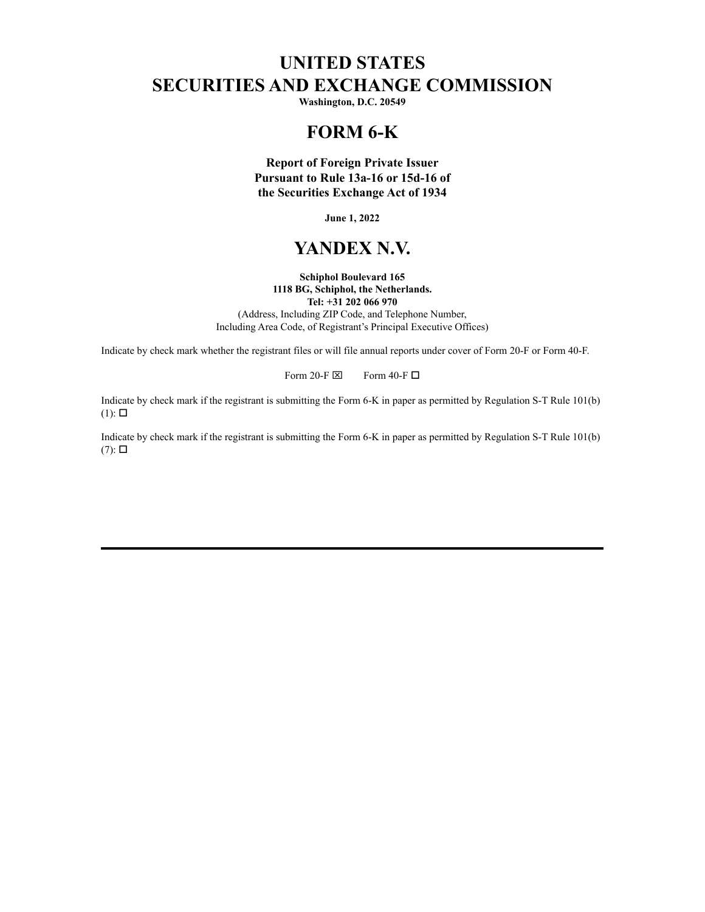## **UNITED STATES SECURITIES AND EXCHANGE COMMISSION**

**Washington, D.C. 20549**

## **FORM 6-K**

**Report of Foreign Private Issuer Pursuant to Rule 13a-16 or 15d-16 of the Securities Exchange Act of 1934**

**June 1, 2022**

### **YANDEX N.V.**

**Schiphol Boulevard 165 1118 BG, Schiphol, the Netherlands. Tel: +31 202 066 970** (Address, Including ZIP Code, and Telephone Number, Including Area Code, of Registrant's Principal Executive Offices)

Indicate by check mark whether the registrant files or will file annual reports under cover of Form 20-F or Form 40-F.

Form 20-F  $\boxtimes$  Form 40-F  $\Box$ 

Indicate by check mark if the registrant is submitting the Form 6-K in paper as permitted by Regulation S-T Rule 101(b)  $(1)$ :  $\square$ 

Indicate by check mark if the registrant is submitting the Form 6-K in paper as permitted by Regulation S-T Rule 101(b)  $(7)$ :  $\square$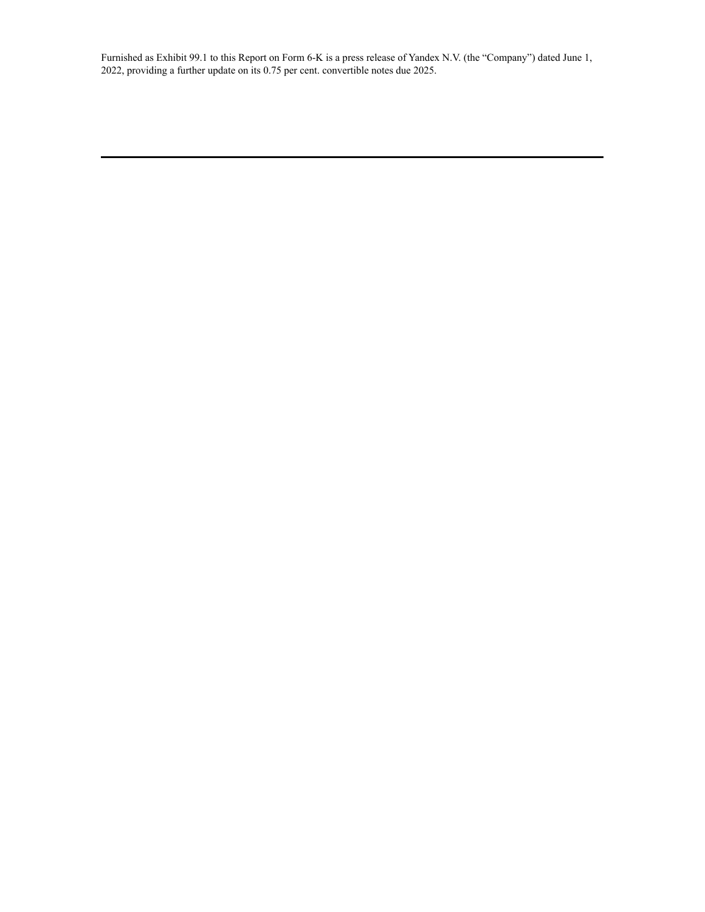Furnished as Exhibit 99.1 to this Report on Form 6-K is a press release of Yandex N.V. (the "Company") dated June 1, 2022, providing a further update on its 0.75 per cent. convertible notes due 2025.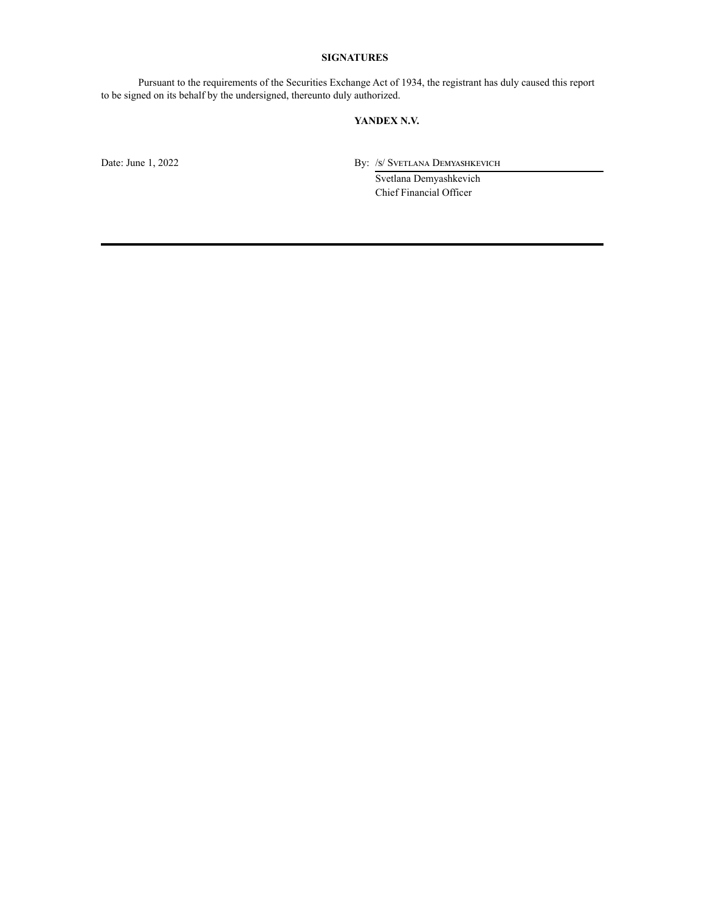#### **SIGNATURES**

Pursuant to the requirements of the Securities Exchange Act of 1934, the registrant has duly caused this report to be signed on its behalf by the undersigned, thereunto duly authorized.

#### **YANDEX N.V.**

Date: June 1, 2022 By: /s/ Svetlana Demyashkevich

Svetlana Demyashkevich Chief Financial Officer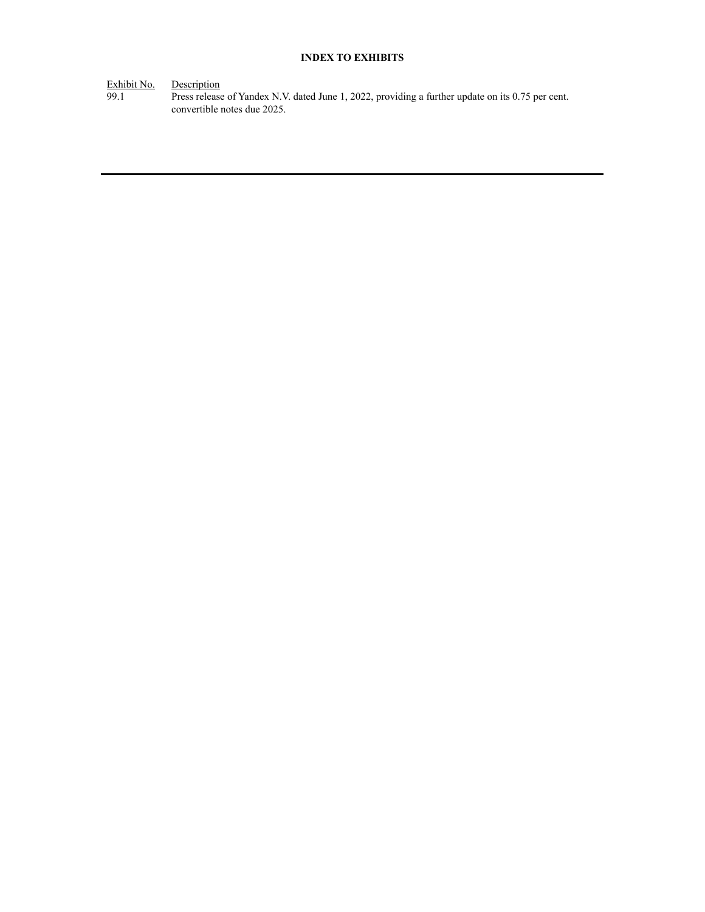#### **INDEX TO EXHIBITS**

Exhibit No. Description

99.1 Press release of Yandex N.V. dated June 1, 2022, providing a further update on its 0.75 per cent. convertible notes due 2025.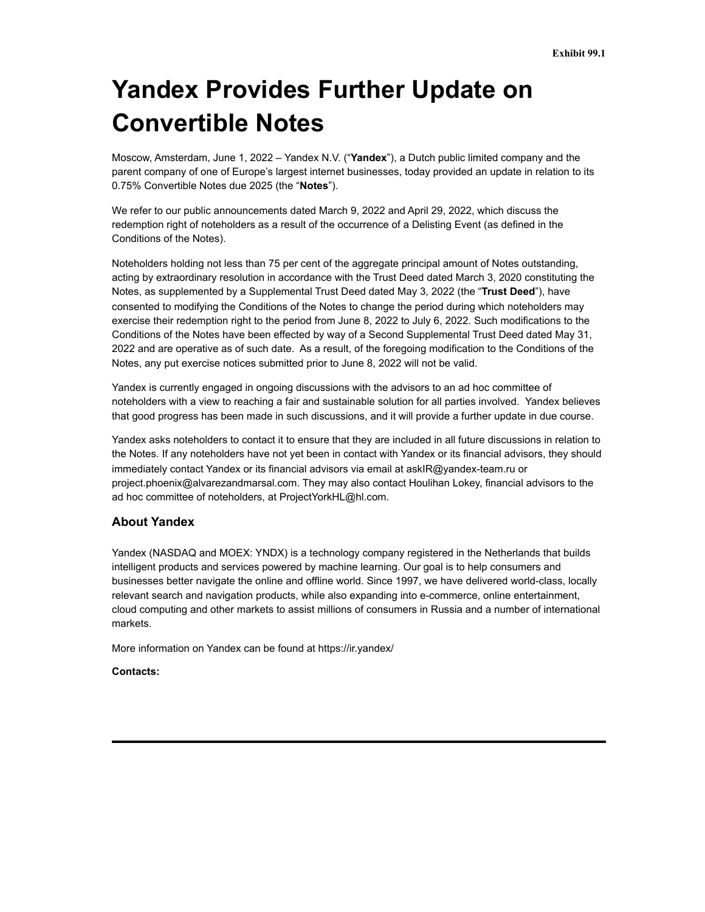# **Yandex Provides Further Update on Convertible Notes**

Moscow, Amsterdam, June 1, 2022 – Yandex N.V. ("**Yandex**"), a Dutch public limited company and the parent company of one of Europe's largest internet businesses, today provided an update in relation to its 0.75% Convertible Notes due 2025 (the "**Notes**").

We refer to our public announcements dated March 9, 2022 and April 29, 2022, which discuss the redemption right of noteholders as a result of the occurrence of a Delisting Event (as defined in the Conditions of the Notes).

Noteholders holding not less than 75 per cent of the aggregate principal amount of Notes outstanding, acting by extraordinary resolution in accordance with the Trust Deed dated March 3, 2020 constituting the Notes, as supplemented by a Supplemental Trust Deed dated May 3, 2022 (the "**Trust Deed**"), have consented to modifying the Conditions of the Notes to change the period during which noteholders may exercise their redemption right to the period from June 8, 2022 to July 6, 2022. Such modifications to the Conditions of the Notes have been effected by way of a Second Supplemental Trust Deed dated May 31, 2022 and are operative as of such date. As a result, of the foregoing modification to the Conditions of the Notes, any put exercise notices submitted prior to June 8, 2022 will not be valid.

Yandex is currently engaged in ongoing discussions with the advisors to an ad hoc committee of noteholders with a view to reaching a fair and sustainable solution for all parties involved. Yandex believes that good progress has been made in such discussions, and it will provide a further update in due course.

Yandex asks noteholders to contact it to ensure that they are included in all future discussions in relation to the Notes. If any noteholders have not yet been in contact with Yandex or its financial advisors, they should immediately contact Yandex or its financial advisors via email at askIR@yandex-team.ru or project.phoenix@alvarezandmarsal.com. They may also contact Houlihan Lokey, financial advisors to the ad hoc committee of noteholders, at ProjectYorkHL@hl.com.

#### **About Yandex**

Yandex (NASDAQ and MOEX: YNDX) is a technology company registered in the Netherlands that builds intelligent products and services powered by machine learning. Our goal is to help consumers and businesses better navigate the online and offline world. Since 1997, we have delivered world-class, locally relevant search and navigation products, while also expanding into e-commerce, online entertainment, cloud computing and other markets to assist millions of consumers in Russia and a number of international markets.

More information on Yandex can be found at https://ir.yandex/

#### **Contacts:**